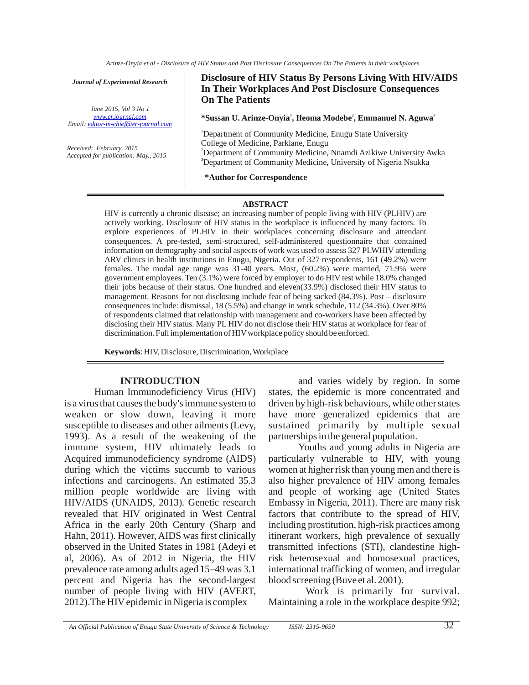*Journal of Experimental Research*

*June 2015, Vol 3 No 1 Email: editor-in-chief@er-journal.com www.er.journal.com*

*Received: February, 2015 Accepted for publication: May., 2015* **Disclosure of HIV Status By Persons Living With HIV/AIDS In Their Workplaces And Post Disclosure Consequences On The Patients**

\*Sussan U. Arinze-Onyia<sup>1</sup>, Ifeoma Modebe<sup>2</sup>, Emmanuel N. Aguwa<sup>3</sup>

<sup>1</sup>Department of Community Medicine, Enugu State University 2 Department of Community Medicine, Nnamdi Azikiwe University Awka <sup>3</sup>Department of Community Medicine, University of Nigeria Nsukka College of Medicine, Parklane, Enugu

**\*Author for Correspondence**

#### **ABSTRACT**

HIV is currently a chronic disease; an increasing number of people living with HIV (PLHIV) are actively working. Disclosure of HIV status in the workplace is influenced by many factors. To explore experiences of PLHIV in their workplaces concerning disclosure and attendant consequences. A pre-tested, semi-structured, self-administered questionnaire that contained information on demography and social aspects of work was used to assess 327 PLWHIV attending ARV clinics in health institutions in Enugu, Nigeria. Out of 327 respondents, 161 (49.2%) were females. The modal age range was 31-40 years. Most, (60.2%) were married, 71.9% were government employees. Ten (3.1%) were forced by employer to do HIV test while 18.0% changed their jobs because of their status. One hundred and eleven(33.9%) disclosed their HIV status to management. Reasons for not disclosing include fear of being sacked (84.3%). Post – disclosure consequences include: dismissal, 18 (5.5%) and change in work schedule, 112 (34.3%). Over 80% of respondents claimed that relationship with management and co-workers have been affected by disclosing their HIV status. Many PL HIV do not disclose their HIV status at workplace for fear of discrimination. Full implementation of HIV workplace policy should be enforced.

**Keywords** : HIV, Disclosure, Discrimination, Workplace

#### **INTRODUCTION**

Human Immunodeficiency Virus (HIV) is a virus that causes the body's immune system to weaken or slow down, leaving it more susceptible to diseases and other ailments (Levy, 1993). As a result of the weakening of the immune system, HIV ultimately leads to Acquired immunodeficiency syndrome (AIDS) during which the victims succumb to various infections and carcinogens. An estimated 35.3 million people worldwide are living with HIV/AIDS (UNAIDS, 2013). Genetic research revealed that HIV originated in West Central Africa in the early 20th Century (Sharp and Hahn, 2011). However, AIDS was first clinically observed in the United States in 1981 (Adeyi et al, 2006). As of 2012 in Nigeria, the HIV prevalence rate among adults aged 15–49 was 3.1 percent and Nigeria has the second-largest number of people living with HIV (AVERT, 2012).The HIV epidemic in Nigeria is complex

and varies widely by region. In some states, the epidemic is more concentrated and driven by high-risk behaviours, while other states have more generalized epidemics that are sustained primarily by multiple sexual partnerships in the general population.

Youths and young adults in Nigeria are particularly vulnerable to HIV, with young women at higher risk than young men and there is also higher prevalence of HIV among females and people of working age (United States Embassy in Nigeria, 2011). There are many risk factors that contribute to the spread of HIV, including prostitution, high-risk practices among itinerant workers, high prevalence of sexually transmitted infections (STI), clandestine highrisk heterosexual and homosexual practices, international trafficking of women, and irregular blood screening (Buve et al. 2001).

 Work is primarily for survival. Maintaining a role in the workplace despite 992;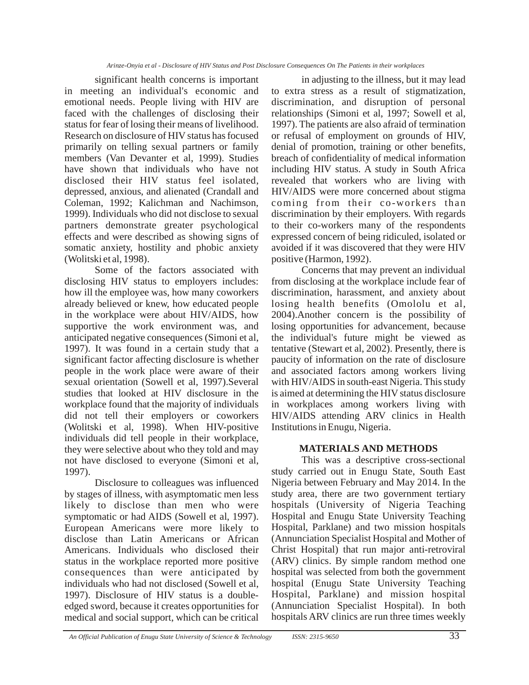significant health concerns is important in meeting an individual's economic and emotional needs. People living with HIV are faced with the challenges of disclosing their status for fear of losing their means of livelihood. Research on disclosure of HIV status has focused primarily on telling sexual partners or family members (Van Devanter et al, 1999). Studies have shown that individuals who have not disclosed their HIV status feel isolated, depressed, anxious, and alienated (Crandall and Coleman, 1992; Kalichman and Nachimson, 1999). Individuals who did not disclose to sexual partners demonstrate greater psychological effects and were described as showing signs of somatic anxiety, hostility and phobic anxiety (Wolitski et al, 1998).

Some of the factors associated with disclosing HIV status to employers includes: how ill the employee was, how many coworkers already believed or knew, how educated people in the workplace were about HIV/AIDS, how supportive the work environment was, and anticipated negative consequences (Simoni et al, 1997). It was found in a certain study that a significant factor affecting disclosure is whether people in the work place were aware of their sexual orientation (Sowell et al, 1997).Several studies that looked at HIV disclosure in the workplace found that the majority of individuals did not tell their employers or coworkers (Wolitski et al, 1998). When HIV-positive individuals did tell people in their workplace, they were selective about who they told and may not have disclosed to everyone (Simoni et al, 1997).

Disclosure to colleagues was influenced by stages of illness, with asymptomatic men less likely to disclose than men who were symptomatic or had AIDS (Sowell et al, 1997). European Americans were more likely to disclose than Latin Americans or African Americans. Individuals who disclosed their status in the workplace reported more positive consequences than were anticipated by individuals who had not disclosed (Sowell et al, 1997). Disclosure of HIV status is a doubleedged sword, because it creates opportunities for medical and social support, which can be critical

in adjusting to the illness, but it may lead to extra stress as a result of stigmatization, discrimination, and disruption of personal relationships (Simoni et al, 1997; Sowell et al, 1997). The patients are also afraid of termination or refusal of employment on grounds of HIV, denial of promotion, training or other benefits, breach of confidentiality of medical information including HIV status. A study in South Africa revealed that workers who are living with HIV/AIDS were more concerned about stigma coming from their co-workers than discrimination by their employers. With regards to their co-workers many of the respondents expressed concern of being ridiculed, isolated or avoided if it was discovered that they were HIV positive (Harmon, 1992).

Concerns that may prevent an individual from disclosing at the workplace include fear of discrimination, harassment, and anxiety about losing health benefits (Omololu et al, 2004).Another concern is the possibility of losing opportunities for advancement, because the individual's future might be viewed as tentative (Stewart et al, 2002). Presently, there is paucity of information on the rate of disclosure and associated factors among workers living with HIV/AIDS in south-east Nigeria. This study is aimed at determining the HIV status disclosure in workplaces among workers living with HIV/AIDS attending ARV clinics in Health Institutions in Enugu, Nigeria.

## **MATERIALS AND METHODS**

This was a descriptive cross-sectional study carried out in Enugu State, South East Nigeria between February and May 2014. In the study area, there are two government tertiary hospitals (University of Nigeria Teaching Hospital and Enugu State University Teaching Hospital, Parklane) and two mission hospitals (Annunciation Specialist Hospital and Mother of Christ Hospital) that run major anti-retroviral (ARV) clinics. By simple random method one hospital was selected from both the government hospital (Enugu State University Teaching Hospital, Parklane) and mission hospital (Annunciation Specialist Hospital). In both hospitals ARV clinics are run three times weekly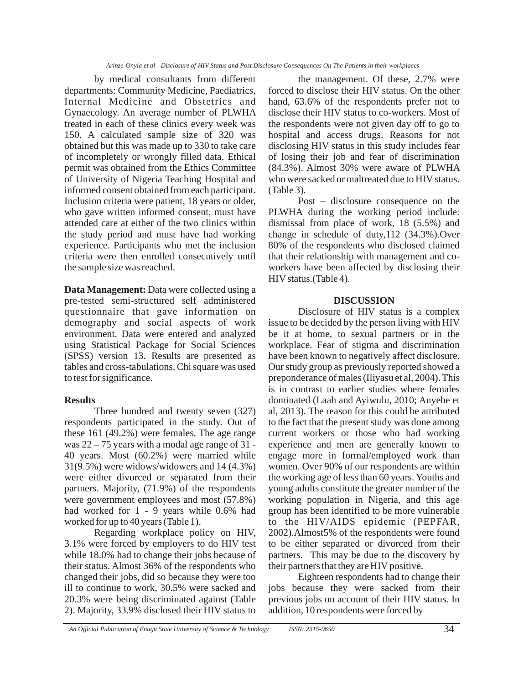by medical consultants from different departments: Community Medicine, Paediatrics, Internal Medicine and Obstetrics and Gynaecology. An average number of PLWHA treated in each of these clinics every week was 150. A calculated sample size of 320 was obtained but this was made up to 330 to take care of incompletely or wrongly filled data. Ethical permit was obtained from the Ethics Committee of University of Nigeria Teaching Hospital and informed consent obtained from each participant. Inclusion criteria were patient, 18 years or older, who gave written informed consent, must have attended care at either of the two clinics within the study period and must have had working experience. Participants who met the inclusion criteria were then enrolled consecutively until the sample size was reached.

Data Management: Data were collected using a pre-tested semi-structured self administered questionnaire that gave information on demography and social aspects of work environment. Data were entered and analyzed using Statistical Package for Social Sciences (SPSS) version 13. Results are presented as tables and cross-tabulations. Chi square was used to test for significance.

## **Results**

Three hundred and twenty seven (327) respondents participated in the study. Out of these 161 (49.2%) were females. The age range was 22 – 75 years with a modal age range of 31 - 40 years. Most (60.2%) were married while 31(9.5%) were widows/widowers and 14 (4.3%) were either divorced or separated from their partners. Majority, (71.9%) of the respondents were government employees and most (57.8%) had worked for 1 - 9 years while 0.6% had worked for up to 40 years (Table 1).

Regarding workplace policy on HIV, 3.1% were forced by employers to do HIV test while 18.0% had to change their jobs because of their status. Almost 36% of the respondents who changed their jobs, did so because they were too ill to continue to work, 30.5% were sacked and 20.3% were being discriminated against (Table 2). Majority, 33.9% disclosed their HIV status to

the management. Of these, 2.7% were forced to disclose their HIV status. On the other hand, 63.6% of the respondents prefer not to disclose their HIV status to co-workers. Most of the respondents were not given day off to go to hospital and access drugs. Reasons for not disclosing HIV status in this study includes fear of losing their job and fear of discrimination (84.3%). Almost 30% were aware of PLWHA who were sacked or maltreated due to HIV status. (Table 3).

Post – disclosure consequence on the PLWHA during the working period include: dismissal from place of work, 18 (5.5%) and change in schedule of duty,112 (34.3%).Over 80% of the respondents who disclosed claimed that their relationship with management and coworkers have been affected by disclosing their HIV status.(Table 4).

## **DISCUSSION**

Disclosure of HIV status is a complex issue to be decided by the person living with HIV be it at home, to sexual partners or in the workplace. Fear of stigma and discrimination have been known to negatively affect disclosure. Our study group as previously reported showed a preponderance of males (Iliyasu et al, 2004). This is in contrast to earlier studies where females dominated (Laah and Ayiwulu, 2010; Anyebe et al, 2013). The reason for this could be attributed to the fact that the present study was done among current workers or those who had working experience and men are generally known to engage more in formal/employed work than women. Over 90% of our respondents are within the working age of less than 60 years. Youths and young adults constitute the greater number of the working population in Nigeria, and this age group has been identified to be more vulnerable to the HIV/AIDS epidemic (PEPFAR, 2002).Almost5% of the respondents were found to be either separated or divorced from their partners. This may be due to the discovery by their partners that they are HIV positive.

Eighteen respondents had to change their jobs because they were sacked from their previous jobs on account of their HIV status. In addition, 10 respondents were forced by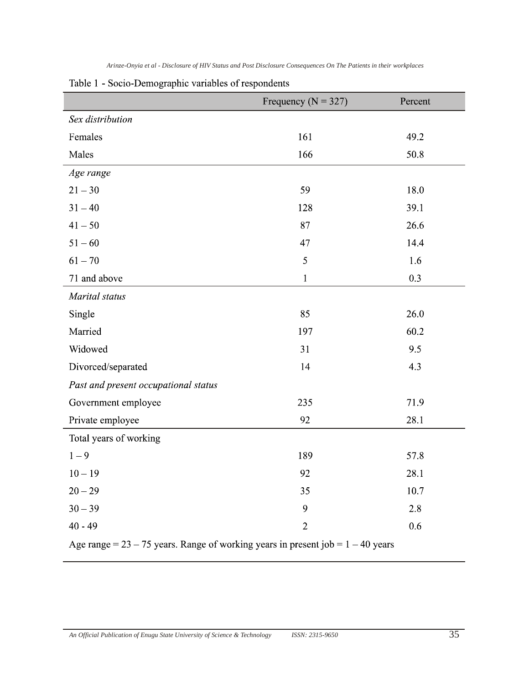|  | Arinze-Onyia et al - Disclosure of HIV Status and Post Disclosure Consequences On The Patients in their workplaces |  |
|--|--------------------------------------------------------------------------------------------------------------------|--|
|--|--------------------------------------------------------------------------------------------------------------------|--|

|                                                                                     | Frequency ( $N = 327$ ) | Percent |  |
|-------------------------------------------------------------------------------------|-------------------------|---------|--|
| Sex distribution                                                                    |                         |         |  |
| Females                                                                             | 161                     | 49.2    |  |
| Males                                                                               | 166                     | 50.8    |  |
| Age range                                                                           |                         |         |  |
| $21 - 30$                                                                           | 59                      | 18.0    |  |
| $31 - 40$                                                                           | 128                     | 39.1    |  |
| $41 - 50$                                                                           | 87                      | 26.6    |  |
| $51 - 60$                                                                           | 47                      | 14.4    |  |
| $61 - 70$                                                                           | 5                       | 1.6     |  |
| 71 and above                                                                        | $\mathbf{1}$            | 0.3     |  |
| Marital status                                                                      |                         |         |  |
| Single                                                                              | 85                      | 26.0    |  |
| Married                                                                             | 197                     | 60.2    |  |
| Widowed                                                                             | 31                      | 9.5     |  |
| Divorced/separated                                                                  | 14                      | 4.3     |  |
| Past and present occupational status                                                |                         |         |  |
| Government employee                                                                 | 235                     | 71.9    |  |
| Private employee                                                                    | 92                      | 28.1    |  |
| Total years of working                                                              |                         |         |  |
| $1 - 9$                                                                             | 189                     | 57.8    |  |
| $10 - 19$                                                                           | 92                      | 28.1    |  |
| $20 - 29$                                                                           | 35                      | 10.7    |  |
| $30 - 39$                                                                           | 9                       | 2.8     |  |
| $40 - 49$                                                                           | $\overline{2}$          | 0.6     |  |
| Age range = $23 - 75$ years. Range of working years in present job = $1 - 40$ years |                         |         |  |

Table 1 - Socio-Demographic variables of respondents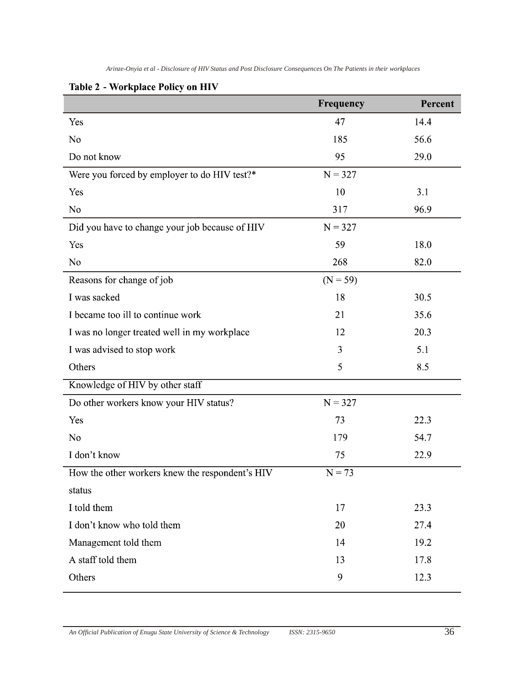|                                                 | Frequency  | Percent |
|-------------------------------------------------|------------|---------|
| Yes                                             | 47         | 14.4    |
| N <sub>o</sub>                                  | 185        | 56.6    |
| Do not know                                     | 95         | 29.0    |
| Were you forced by employer to do HIV test?*    | $N = 327$  |         |
| Yes                                             | 10         | 3.1     |
| N <sub>0</sub>                                  | 317        | 96.9    |
| Did you have to change your job because of HIV  | $N = 327$  |         |
| Yes                                             | 59         | 18.0    |
| N <sub>o</sub>                                  | 268        | 82.0    |
| Reasons for change of job                       | $(N = 59)$ |         |
| I was sacked                                    | 18         | 30.5    |
| I became too ill to continue work               | 21         | 35.6    |
| I was no longer treated well in my workplace    | 12         | 20.3    |
| I was advised to stop work                      | 3          | 5.1     |
| Others                                          | 5          | 8.5     |
| Knowledge of HIV by other staff                 |            |         |
| Do other workers know your HIV status?          | $N = 327$  |         |
| Yes                                             | 73         | 22.3    |
| N <sub>0</sub>                                  | 179        | 54.7    |
| I don't know                                    | 75         | 22.9    |
| How the other workers knew the respondent's HIV | $N = 73$   |         |
| status                                          |            |         |
| I told them                                     | 17         | 23.3    |
| I don't know who told them                      | 20         | 27.4    |
| Management told them                            | 14         | 19.2    |
| A staff told them                               | 13         | 17.8    |
| Others                                          | 9          | 12.3    |
|                                                 |            |         |

# Table 2 - Workplace Policy on HIV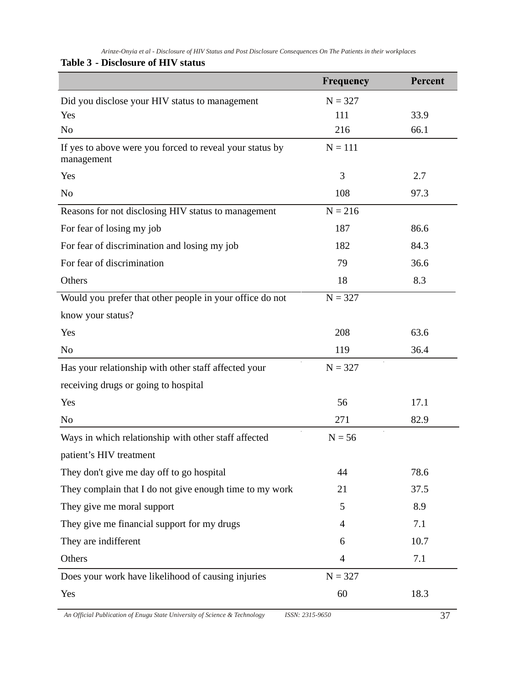# **Table 3 - Disclosure of HIV status**

|                                                                        | <b>Frequency</b> | Percent |
|------------------------------------------------------------------------|------------------|---------|
| Did you disclose your HIV status to management                         | $N = 327$        |         |
| Yes                                                                    | 111              | 33.9    |
| N <sub>o</sub>                                                         | 216              | 66.1    |
| If yes to above were you forced to reveal your status by<br>management | $N = 111$        |         |
| Yes                                                                    | 3                | 2.7     |
| N <sub>o</sub>                                                         | 108              | 97.3    |
| Reasons for not disclosing HIV status to management                    | $N = 216$        |         |
| For fear of losing my job                                              | 187              | 86.6    |
| For fear of discrimination and losing my job                           | 182              | 84.3    |
| For fear of discrimination                                             | 79               | 36.6    |
| Others                                                                 | 18               | 8.3     |
| Would you prefer that other people in your office do not               | $N = 327$        |         |
| know your status?                                                      |                  |         |
| Yes                                                                    | 208              | 63.6    |
| N <sub>o</sub>                                                         | 119              | 36.4    |
| Has your relationship with other staff affected your                   | $N = 327$        |         |
| receiving drugs or going to hospital                                   |                  |         |
| Yes                                                                    | 56               | 17.1    |
| N <sub>o</sub>                                                         | 271              | 82.9    |
| Ways in which relationship with other staff affected                   | $N = 56$         |         |
| patient's HIV treatment                                                |                  |         |
| They don't give me day off to go hospital                              | 44               | 78.6    |
| They complain that I do not give enough time to my work                | 21               | 37.5    |
| They give me moral support                                             | 5                | 8.9     |
| They give me financial support for my drugs                            | $\overline{4}$   | 7.1     |
| They are indifferent                                                   | 6                | 10.7    |
| Others                                                                 | 4                | 7.1     |
| Does your work have likelihood of causing injuries                     | $N = 327$        |         |
| Yes                                                                    | 60               | 18.3    |

*An Official Publication of Enugu State University of Science & Technology ISSN: 2315-9650* 37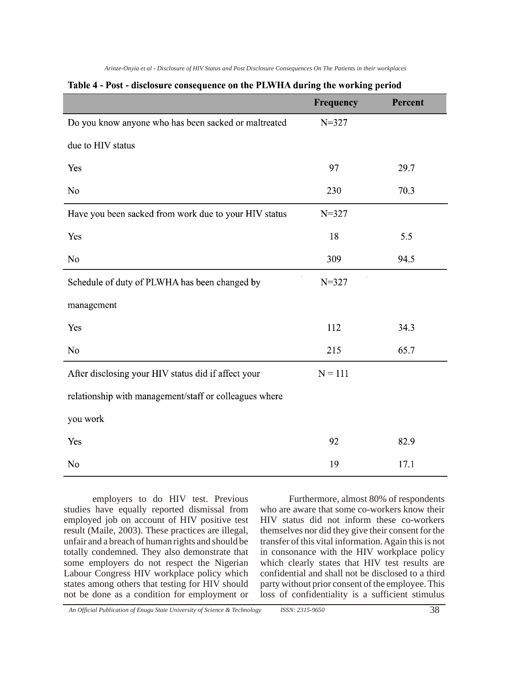|                                                        | Frequency | Percent |
|--------------------------------------------------------|-----------|---------|
| Do you know anyone who has been sacked or maltreated   | $N = 327$ |         |
| due to HIV status                                      |           |         |
| Yes                                                    | 97        | 29.7    |
| N <sub>o</sub>                                         | 230       | 70.3    |
| Have you been sacked from work due to your HIV status  | $N = 327$ |         |
| Yes                                                    | 18        | 5.5     |
| N <sub>o</sub>                                         | 309       | 94.5    |
| Schedule of duty of PLWHA has been changed by          | $N = 327$ |         |
| management                                             |           |         |
| Yes                                                    | 112       | 34.3    |
| N <sub>0</sub>                                         | 215       | 65.7    |
| After disclosing your HIV status did if affect your    | $N = 111$ |         |
| relationship with management/staff or colleagues where |           |         |
| you work                                               |           |         |
| Yes                                                    | 92        | 82.9    |
| N <sub>0</sub>                                         | 19        | 17.1    |

#### Table 4 - Post - disclosure consequence on the PLWHA during the working period

employers to do HIV test. Previous studies have equally reported dismissal from employed job on account of HIV positive test result (Maile, 2003). These practices are illegal, unfair and a breach of human rights and should be totally condemned. They also demonstrate that some employers do not respect the Nigerian Labour Congress HIV workplace policy which states among others that testing for HIV should not be done as a condition for employment or

Furthermore, almost 80% of respondents who are aware that some co-workers know their HIV status did not inform these co-workers themselves nor did they give their consent for the transfer of this vital information. Again this is not in consonance with the HIV workplace policy which clearly states that HIV test results are confidential and shall not be disclosed to a third party without prior consent of the employee. This loss of confidentiality is a sufficient stimulus

*An Official Publication of Enugu State University of Science & Technology ISSN: 2315-9650* 38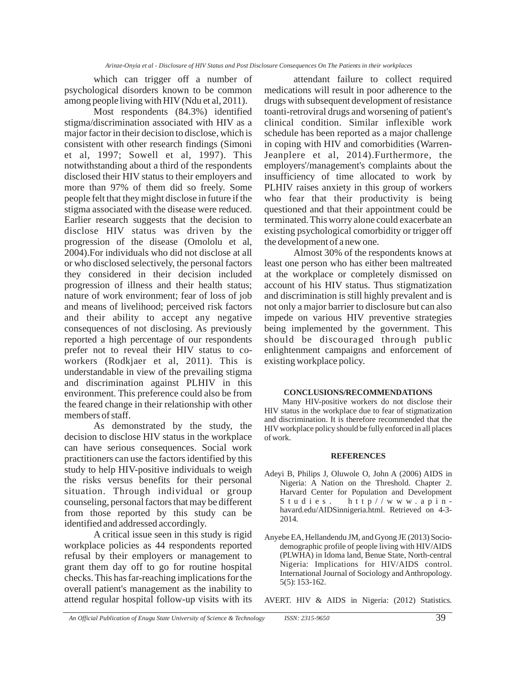which can trigger off a number of psychological disorders known to be common among people living with HIV (Ndu et al, 2011).

Most respondents (84.3%) identified stigma/discrimination associated with HIV as a major factor in their decision to disclose, which is consistent with other research findings (Simoni et al, 1997; Sowell et al, 1997). This notwithstanding about a third of the respondents disclosed their HIV status to their employers and more than 97% of them did so freely. Some people felt that they might disclose in future if the stigma associated with the disease were reduced. Earlier research suggests that the decision to disclose HIV status was driven by the progression of the disease (Omololu et al, 2004).For individuals who did not disclose at all or who disclosed selectively, the personal factors they considered in their decision included progression of illness and their health status; nature of work environment; fear of loss of job and means of livelihood; perceived risk factors and their ability to accept any negative consequences of not disclosing. As previously reported a high percentage of our respondents prefer not to reveal their HIV status to coworkers (Rodkjaer et al, 2011). This is understandable in view of the prevailing stigma and discrimination against PLHIV in this environment. This preference could also be from the feared change in their relationship with other members of staff.

As demonstrated by the study, the decision to disclose HIV status in the workplace can have serious consequences. Social work practitioners can use the factors identified by this study to help HIV-positive individuals to weigh the risks versus benefits for their personal situation. Through individual or group counseling, personal factors that may be different from those reported by this study can be identified and addressed accordingly.

A critical issue seen in this study is rigid workplace policies as 44 respondents reported refusal by their employers or management to grant them day off to go for routine hospital checks. This has far-reaching implications for the overall patient's management as the inability to attend regular hospital follow-up visits with its

attendant failure to collect required medications will result in poor adherence to the drugs with subsequent development of resistance toanti-retroviral drugs and worsening of patient's clinical condition. Similar inflexible work schedule has been reported as a major challenge in coping with HIV and comorbidities (Warren-Jeanplere et al, 2014).Furthermore, the employers'/management's complaints about the insufficiency of time allocated to work by PLHIV raises anxiety in this group of workers who fear that their productivity is being questioned and that their appointment could be terminated. This worry alone could exacerbate an existing psychological comorbidity or trigger off the development of a new one.

Almost 30% of the respondents knows at least one person who has either been maltreated at the workplace or completely dismissed on account of his HIV status. Thus stigmatization and discrimination is still highly prevalent and is not only a major barrier to disclosure but can also impede on various HIV preventive strategies being implemented by the government. This should be discouraged through public enlightenment campaigns and enforcement of existing workplace policy.

#### **CONCLUSIONS/RECOMMENDATIONS**

Many HIV-positive workers do not disclose their HIV status in the workplace due to fear of stigmatization and discrimination. It is therefore recommended that the HIV workplace policy should be fully enforced in all places of work.

#### **REFERENCES**

- Adeyi B, Philips J, Oluwole O, John A (2006) AIDS in Nigeria: A Nation on the Threshold. Chapter 2. Harvard Center for Population and Development Studies. http//www.apinhavard.edu/AIDSinnigeria.html. Retrieved on 4-3- 2014.
- Anyebe EA, Hellandendu JM, and Gyong JE (2013) Sociodemographic profile of people living with HIV/AIDS (PLWHA) in Idoma land, Benue State, North-central Nigeria: Implications for HIV/AIDS control. International Journal of Sociology and Anthropology. 5(5): 153-162.

AVERT. HIV & AIDS in Nigeria: (2012) Statistics.